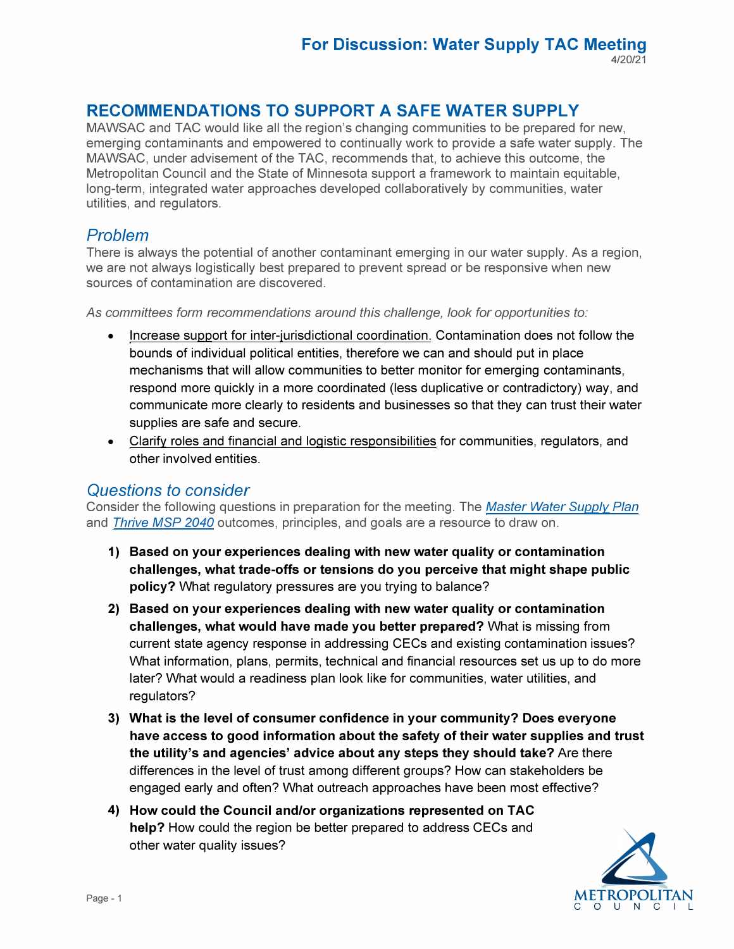# **RECOMMENDATIONS TO SUPPORT A SAFE WATER SUPPLY**

MAWSAC and TAC would like all the region's changing communities to be prepared for new, emerging contaminants and empowered to continually work to provide a safe water supply. The MAWSAC, under advisement of the TAC, recommends that, to achieve this outcome, the Metropolitan Council and the State of Minnesota support a framework to maintain equitable, long-term, integrated water approaches developed collaboratively by communities, water utilities, and regulators.

# *Problem*

There is always the potential of another contaminant emerging in our water supply. As a region, we are not always logistically best prepared to prevent spread or be responsive when new sources of contamination are discovered.

*As committees form recommendations around this challenge, look for opportunities to:* 

- Increase support for inter-jurisdictional coordination. Contamination does not follow the bounds of individual political entities, therefore we can and should put in place mechanisms that will allow communities to better monitor for emerging contaminants, respond more quickly in a more coordinated (less duplicative or contradictory) way, and communicate more clearly to residents and businesses so that they can trust their water supplies are safe and secure.
- Clarify roles and financial and logistic responsibilities for communities, regulators, and other involved entities.

## *Questions to consider*

Consider the following questions in preparation for the meeting. The *[Master Water Supply Plan](https://metrocouncil.org/Wastewater-Water/Planning/Water-Supply-Planning/Planners/Master-Water-Supply-Plan.aspx)*  and*[Thrive MSP 2040](https://metrocouncil.org/Planning/Projects/Thrive-2040/Thrive-MSP-2040-Plan.aspx?source=child)* outcomes, principles, and goals are a resource to draw on.

- **1) Based on your experiences dealing with new water quality or contamination challenges, what trade-offs or tensions do you perceive that might shape public policy?** What regulatory pressures are you trying to balance?
- **2) Based on your experiences dealing with new water quality or contamination challenges, what would have made you better prepared?** What is missing from current state agency response in addressing CECs and existing contamination issues? What information, plans, permits, technical and financial resources set us up to do more later? What would a readiness plan look like for communities, water utilities, and regulators?
- **3) What is the level of consumer confidence in your community? Does everyone have access to good information about the safety of their water supplies and trust the utility's and agencies' advice about any steps they should take?** Are there differences in the level of trust among different groups? How can stakeholders be engaged early and often? What outreach approaches have been most effective?
- **4) How could the Council and/or organizations represented on TAC help?** How could the region be better prepared to address CECs and other water quality issues?

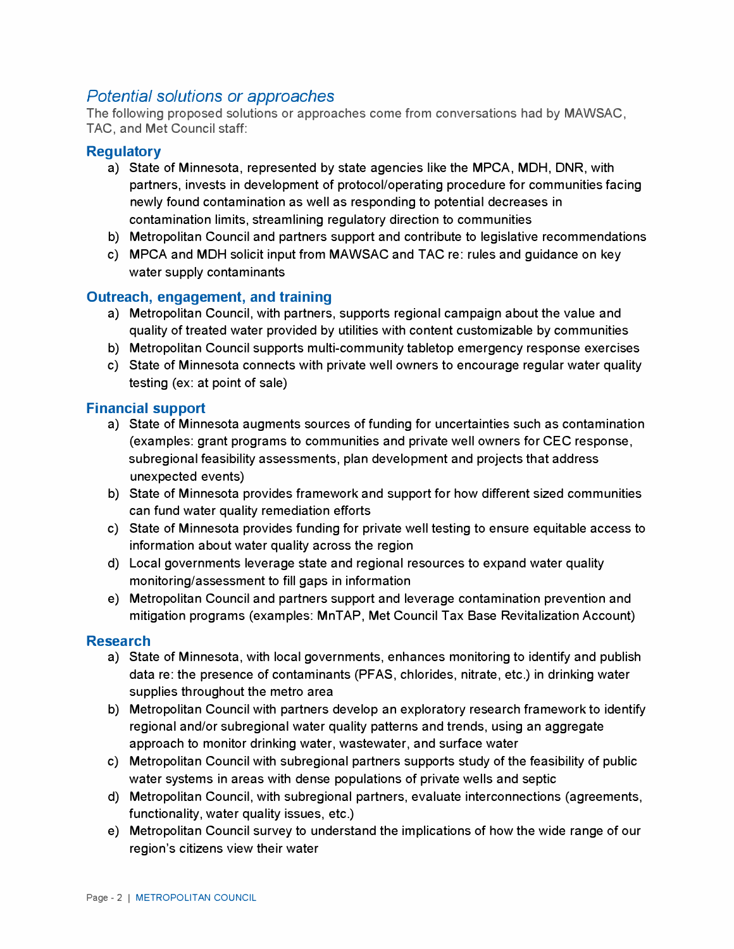# *Potential solutions or approaches*

The following proposed solutions or approaches come from conversations had by MAWSAC, TAC, and Met Council staff:

## **Regulatory**

- a) State of Minnesota, represented by state agencies like the MPCA, MOH, ONR, with partners, invests in development of protocol/operating procedure for communities facing newly found contamination as well as responding to potential decreases in contamination limits, streamlining regulatory direction to communities
- b) Metropolitan Council and partners support and contribute to legislative recommendations
- c) MPCA and MOH solicit input from MAWSAC and TAC re: rules and guidance on key water supply contaminants

## **Outreach, engagement, and training**

- a) Metropolitan Council, with partners, supports regional campaign about the value and quality of treated water provided by utilities with content customizable by communities
- b) Metropolitan Council supports multi-community tabletop emergency response exercises
- c) State of Minnesota connects with private well owners to encourage regular water quality testing (ex: at point of sale)

### **Financial support**

- a) State of Minnesota augments sources of funding for uncertainties such as contamination (examples: grant programs to communities and private well owners for CEC response, subregional feasibility assessments, plan development and projects that address unexpected events)
- b) State of Minnesota provides framework and support for how different sized communities can fund water quality remediation efforts
- c) State of Minnesota provides funding for private well testing to ensure equitable access to information about water quality across the region
- d) Local governments leverage state and regional resources to expand water quality monitoring/assessment to fill gaps in information
- e) Metropolitan Council and partners support and leverage contamination prevention and mitigation programs (examples: MnTAP, Met Council Tax Base Revitalization Account)

#### **Research**

- a) State of Minnesota, with local governments, enhances monitoring to identify and publish data re: the presence of contaminants (PFAS, chlorides, nitrate, etc.) in drinking water supplies throughout the metro area
- b) Metropolitan Council with partners develop an exploratory research framework to identify regional and/or subregional water quality patterns and trends, using an aggregate approach to monitor drinking water, wastewater, and surface water
- c) Metropolitan Council with subregional partners supports study of the feasibility of public water systems in areas with dense populations of private wells and septic
- d) Metropolitan Council, with subregional partners, evaluate interconnections (agreements, functionality, water quality issues, etc.)
- e) Metropolitan Council survey to understand the implications of how the wide range of our region's citizens view their water